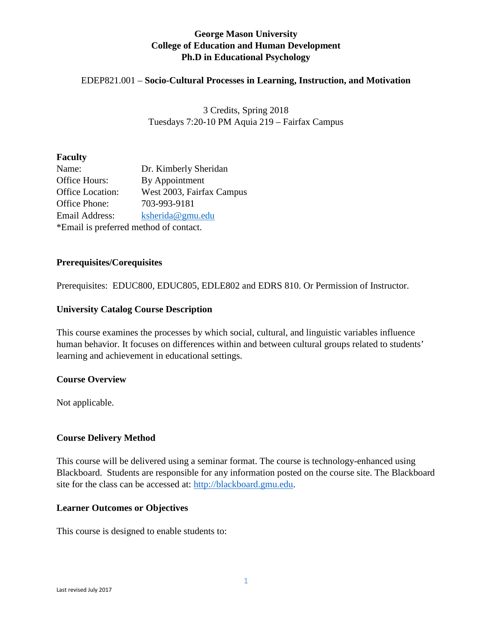# **George Mason University College of Education and Human Development Ph.D in Educational Psychology**

## EDEP821.001 – **Socio-Cultural Processes in Learning, Instruction, and Motivation**

3 Credits, Spring 2018 Tuesdays 7:20-10 PM Aquia 219 – Fairfax Campus

#### **Faculty**

| Name:                                  | Dr. Kimberly Sheridan     |  |  |
|----------------------------------------|---------------------------|--|--|
| Office Hours:                          | By Appointment            |  |  |
| <b>Office Location:</b>                | West 2003, Fairfax Campus |  |  |
| Office Phone:                          | 703-993-9181              |  |  |
| Email Address:                         | ksherida@gmu.edu          |  |  |
| *Email is preferred method of contact. |                           |  |  |

#### **Prerequisites/Corequisites**

Prerequisites: EDUC800, EDUC805, EDLE802 and EDRS 810. Or Permission of Instructor.

#### **University Catalog Course Description**

This course examines the processes by which social, cultural, and linguistic variables influence human behavior. It focuses on differences within and between cultural groups related to students' learning and achievement in educational settings.

#### **Course Overview**

Not applicable.

## **Course Delivery Method**

This course will be delivered using a seminar format. The course is technology-enhanced using Blackboard. Students are responsible for any information posted on the course site. The Blackboard site for the class can be accessed at: [http://blackboard.gmu.edu.](http://blackboard.gmu.edu/)

## **Learner Outcomes or Objectives**

This course is designed to enable students to: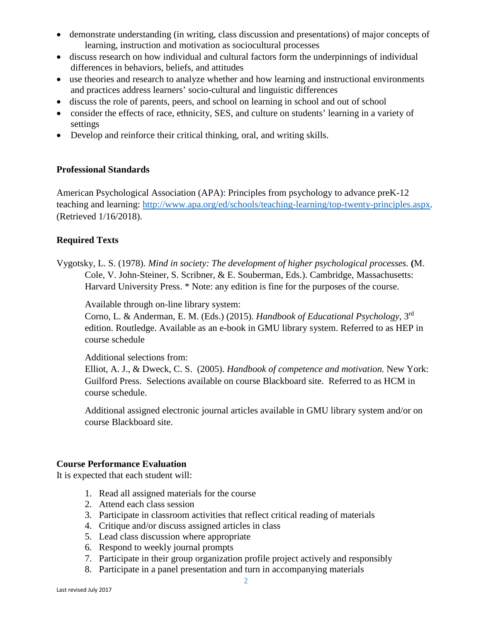- demonstrate understanding (in writing, class discussion and presentations) of major concepts of learning, instruction and motivation as sociocultural processes
- discuss research on how individual and cultural factors form the underpinnings of individual differences in behaviors, beliefs, and attitudes
- use theories and research to analyze whether and how learning and instructional environments and practices address learners' socio-cultural and linguistic differences
- discuss the role of parents, peers, and school on learning in school and out of school
- consider the effects of race, ethnicity, SES, and culture on students' learning in a variety of settings
- Develop and reinforce their critical thinking, oral, and writing skills.

## **Professional Standards**

American Psychological Association (APA): Principles from psychology to advance preK-12 teaching and learning: [http://www.apa.org/ed/schools/teaching-learning/top-twenty-principles.aspx.](http://www.apa.org/ed/schools/teaching-learning/top-twenty-principles.aspx) (Retrieved 1/16/2018).

## **Required Texts**

Vygotsky, L. S. (1978). *Mind in society: The development of higher psychological processes.* **(**M. Cole, V. John-Steiner, S. Scribner, & E. Souberman, Eds.). Cambridge, Massachusetts: Harvard University Press. \* Note: any edition is fine for the purposes of the course.

Available through on-line library system:

Corno, L. & Anderman, E. M. (Eds.) (2015). *Handbook of Educational Psychology*, 3rd edition. Routledge. Available as an e-book in GMU library system. Referred to as HEP in course schedule

Additional selections from:

Elliot, A. J., & Dweck, C. S. (2005). *Handbook of competence and motivation.* New York: Guilford Press. Selections available on course Blackboard site. Referred to as HCM in course schedule.

Additional assigned electronic journal articles available in GMU library system and/or on course Blackboard site.

## **Course Performance Evaluation**

It is expected that each student will:

- 1. Read all assigned materials for the course
- 2. Attend each class session
- 3. Participate in classroom activities that reflect critical reading of materials
- 4. Critique and/or discuss assigned articles in class
- 5. Lead class discussion where appropriate
- 6. Respond to weekly journal prompts
- 7. Participate in their group organization profile project actively and responsibly
- 8. Participate in a panel presentation and turn in accompanying materials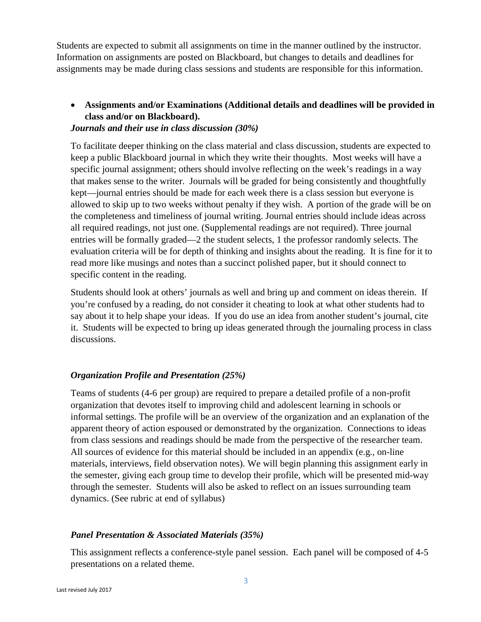Students are expected to submit all assignments on time in the manner outlined by the instructor. Information on assignments are posted on Blackboard, but changes to details and deadlines for assignments may be made during class sessions and students are responsible for this information.

# • **Assignments and/or Examinations (Additional details and deadlines will be provided in class and/or on Blackboard).**

## *Journals and their use in class discussion (30%)*

To facilitate deeper thinking on the class material and class discussion, students are expected to keep a public Blackboard journal in which they write their thoughts. Most weeks will have a specific journal assignment; others should involve reflecting on the week's readings in a way that makes sense to the writer. Journals will be graded for being consistently and thoughtfully kept—journal entries should be made for each week there is a class session but everyone is allowed to skip up to two weeks without penalty if they wish. A portion of the grade will be on the completeness and timeliness of journal writing. Journal entries should include ideas across all required readings, not just one. (Supplemental readings are not required). Three journal entries will be formally graded—2 the student selects, 1 the professor randomly selects. The evaluation criteria will be for depth of thinking and insights about the reading. It is fine for it to read more like musings and notes than a succinct polished paper, but it should connect to specific content in the reading.

Students should look at others' journals as well and bring up and comment on ideas therein. If you're confused by a reading, do not consider it cheating to look at what other students had to say about it to help shape your ideas. If you do use an idea from another student's journal, cite it. Students will be expected to bring up ideas generated through the journaling process in class discussions.

# *Organization Profile and Presentation (25%)*

Teams of students (4-6 per group) are required to prepare a detailed profile of a non-profit organization that devotes itself to improving child and adolescent learning in schools or informal settings. The profile will be an overview of the organization and an explanation of the apparent theory of action espoused or demonstrated by the organization. Connections to ideas from class sessions and readings should be made from the perspective of the researcher team. All sources of evidence for this material should be included in an appendix (e.g., on-line materials, interviews, field observation notes). We will begin planning this assignment early in the semester, giving each group time to develop their profile, which will be presented mid-way through the semester. Students will also be asked to reflect on an issues surrounding team dynamics. (See rubric at end of syllabus)

# *Panel Presentation & Associated Materials (35%)*

This assignment reflects a conference-style panel session. Each panel will be composed of 4-5 presentations on a related theme.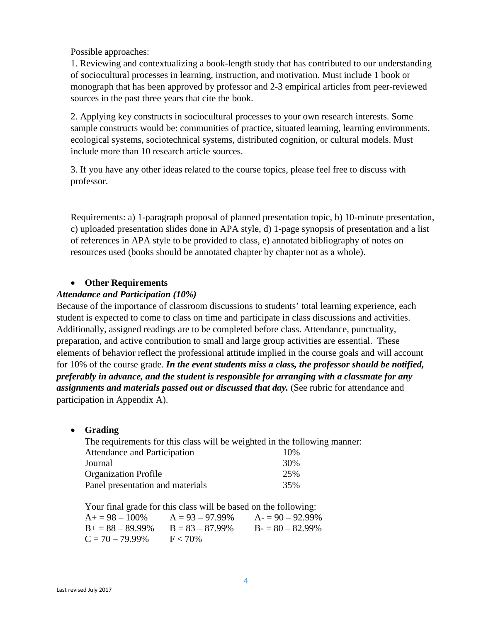Possible approaches:

1. Reviewing and contextualizing a book-length study that has contributed to our understanding of sociocultural processes in learning, instruction, and motivation. Must include 1 book or monograph that has been approved by professor and 2-3 empirical articles from peer-reviewed sources in the past three years that cite the book.

2. Applying key constructs in sociocultural processes to your own research interests. Some sample constructs would be: communities of practice, situated learning, learning environments, ecological systems, sociotechnical systems, distributed cognition, or cultural models. Must include more than 10 research article sources.

3. If you have any other ideas related to the course topics, please feel free to discuss with professor.

Requirements: a) 1-paragraph proposal of planned presentation topic, b) 10-minute presentation, c) uploaded presentation slides done in APA style, d) 1-page synopsis of presentation and a list of references in APA style to be provided to class, e) annotated bibliography of notes on resources used (books should be annotated chapter by chapter not as a whole).

# • **Other Requirements**

## *Attendance and Participation (10%)*

Because of the importance of classroom discussions to students' total learning experience, each student is expected to come to class on time and participate in class discussions and activities. Additionally, assigned readings are to be completed before class. Attendance, punctuality, preparation, and active contribution to small and large group activities are essential. These elements of behavior reflect the professional attitude implied in the course goals and will account for 10% of the course grade. *In the event students miss a class, the professor should be notified, preferably in advance, and the student is responsible for arranging with a classmate for any assignments and materials passed out or discussed that day.* (See rubric for attendance and participation in Appendix A).

• **Grading**

| The requirements for this class will be weighted in the following manner: |     |
|---------------------------------------------------------------------------|-----|
| Attendance and Participation                                              | 10% |
| Journal                                                                   | 30% |
| <b>Organization Profile</b>                                               | 25% |
| Panel presentation and materials                                          | 35% |

Your final grade for this class will be based on the following:

| $A+=98-100\%$      | $A = 93 - 97.99\%$ | $A = 90 - 92.99\%$ |
|--------------------|--------------------|--------------------|
| $B+=88-89.99\%$    | $B = 83 - 87.99\%$ | $B = 80 - 82.99\%$ |
| $C = 70 - 79.99\%$ | $F < 70\%$         |                    |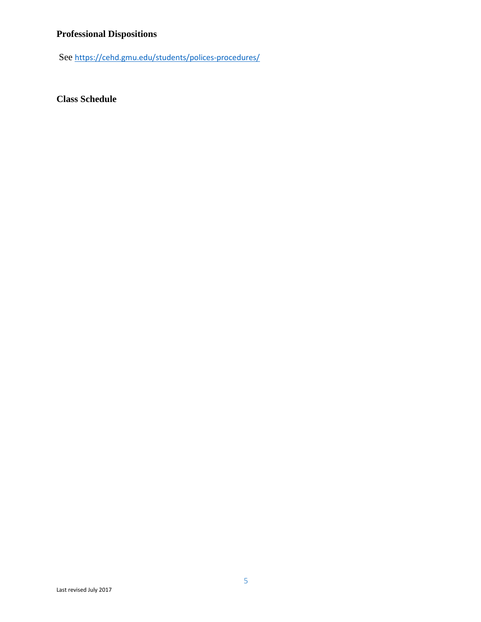# **Professional Dispositions**

See <https://cehd.gmu.edu/students/polices-procedures/>

**Class Schedule**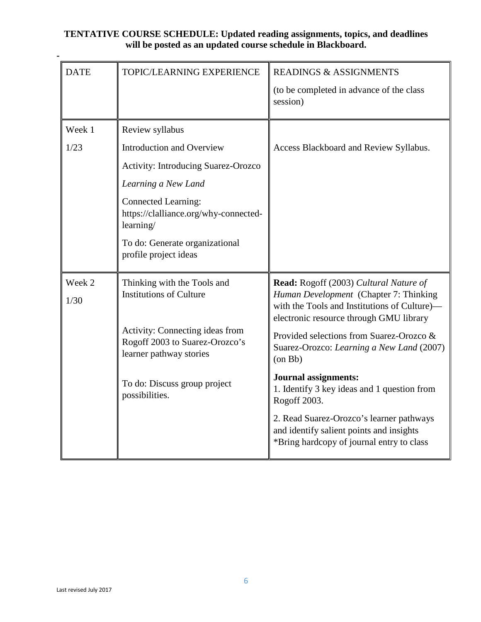## **TENTATIVE COURSE SCHEDULE: Updated reading assignments, topics, and deadlines will be posted as an updated course schedule in Blackboard.**

| <b>DATE</b> | TOPIC/LEARNING EXPERIENCE                                                                    | <b>READINGS &amp; ASSIGNMENTS</b>                                                                                                 |
|-------------|----------------------------------------------------------------------------------------------|-----------------------------------------------------------------------------------------------------------------------------------|
|             |                                                                                              | (to be completed in advance of the class<br>session)                                                                              |
| Week 1      | Review syllabus                                                                              |                                                                                                                                   |
| 1/23        | <b>Introduction and Overview</b>                                                             | Access Blackboard and Review Syllabus.                                                                                            |
|             | <b>Activity: Introducing Suarez-Orozco</b>                                                   |                                                                                                                                   |
|             | Learning a New Land                                                                          |                                                                                                                                   |
|             | <b>Connected Learning:</b><br>https://clalliance.org/why-connected-<br>learning/             |                                                                                                                                   |
|             | To do: Generate organizational<br>profile project ideas                                      |                                                                                                                                   |
| Week 2      | Thinking with the Tools and                                                                  | Read: Rogoff (2003) Cultural Nature of                                                                                            |
| 1/30        | <b>Institutions of Culture</b>                                                               | Human Development (Chapter 7: Thinking<br>with the Tools and Institutions of Culture)-<br>electronic resource through GMU library |
|             | Activity: Connecting ideas from<br>Rogoff 2003 to Suarez-Orozco's<br>learner pathway stories | Provided selections from Suarez-Orozco &<br>Suarez-Orozco: Learning a New Land (2007)<br>$($ on Bb $)$                            |
|             | To do: Discuss group project<br>possibilities.                                               | <b>Journal assignments:</b><br>1. Identify 3 key ideas and 1 question from<br>Rogoff 2003.                                        |
|             |                                                                                              | 2. Read Suarez-Orozco's learner pathways<br>and identify salient points and insights<br>*Bring hardcopy of journal entry to class |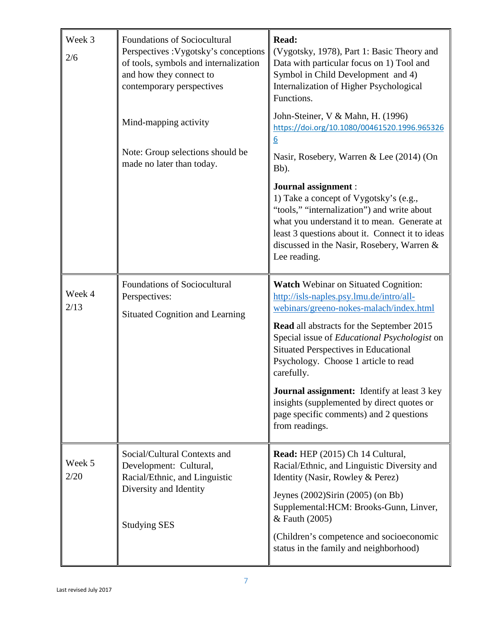| Week 3<br>2/6  | Foundations of Sociocultural<br>Perspectives : Vygotsky's conceptions<br>of tools, symbols and internalization<br>and how they connect to<br>contemporary perspectives | Read:<br>(Vygotsky, 1978), Part 1: Basic Theory and<br>Data with particular focus on 1) Tool and<br>Symbol in Child Development and 4)<br>Internalization of Higher Psychological<br>Functions.                                                                                                                                                                                                                                                                                                              |  |
|----------------|------------------------------------------------------------------------------------------------------------------------------------------------------------------------|--------------------------------------------------------------------------------------------------------------------------------------------------------------------------------------------------------------------------------------------------------------------------------------------------------------------------------------------------------------------------------------------------------------------------------------------------------------------------------------------------------------|--|
|                | Mind-mapping activity<br>Note: Group selections should be                                                                                                              | John-Steiner, V & Mahn, H. (1996)<br>https://doi.org/10.1080/00461520.1996.965326<br>6<br>Nasir, Rosebery, Warren & Lee (2014) (On                                                                                                                                                                                                                                                                                                                                                                           |  |
|                | made no later than today.                                                                                                                                              | Bb).<br>Journal assignment :<br>1) Take a concept of Vygotsky's (e.g.,<br>"tools," "internalization") and write about<br>what you understand it to mean. Generate at<br>least 3 questions about it. Connect it to ideas<br>discussed in the Nasir, Rosebery, Warren &<br>Lee reading.                                                                                                                                                                                                                        |  |
| Week 4<br>2/13 | Foundations of Sociocultural<br>Perspectives:<br><b>Situated Cognition and Learning</b>                                                                                | <b>Watch Webinar on Situated Cognition:</b><br>http://isls-naples.psy.lmu.de/intro/all-<br>webinars/greeno-nokes-malach/index.html<br><b>Read all abstracts for the September 2015</b><br>Special issue of Educational Psychologist on<br><b>Situated Perspectives in Educational</b><br>Psychology. Choose 1 article to read<br>carefully.<br><b>Journal assignment:</b> Identify at least 3 key<br>insights (supplemented by direct quotes or<br>page specific comments) and 2 questions<br>from readings. |  |
| Week 5<br>2/20 | Social/Cultural Contexts and<br>Development: Cultural,<br>Racial/Ethnic, and Linguistic<br>Diversity and Identity<br><b>Studying SES</b>                               | Read: HEP (2015) Ch 14 Cultural,<br>Racial/Ethnic, and Linguistic Diversity and<br>Identity (Nasir, Rowley & Perez)<br>Jeynes $(2002)$ Sirin $(2005)$ (on Bb)<br>Supplemental: HCM: Brooks-Gunn, Linver,<br>& Fauth (2005)<br>(Children's competence and socioeconomic<br>status in the family and neighborhood)                                                                                                                                                                                             |  |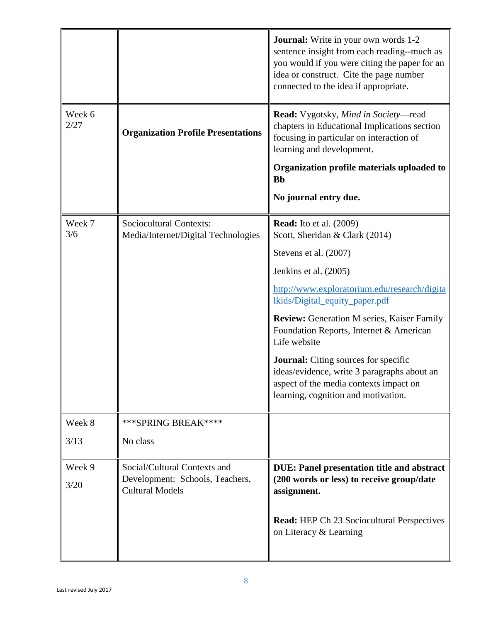|                |                                                                | <b>Journal:</b> Write in your own words 1-2<br>sentence insight from each reading--much as<br>you would if you were citing the paper for an<br>idea or construct. Cite the page number<br>connected to the idea if appropriate. |
|----------------|----------------------------------------------------------------|---------------------------------------------------------------------------------------------------------------------------------------------------------------------------------------------------------------------------------|
| Week 6<br>2/27 | <b>Organization Profile Presentations</b>                      | Read: Vygotsky, Mind in Society-read<br>chapters in Educational Implications section<br>focusing in particular on interaction of<br>learning and development.                                                                   |
|                |                                                                | Organization profile materials uploaded to<br><b>Bb</b>                                                                                                                                                                         |
|                |                                                                | No journal entry due.                                                                                                                                                                                                           |
| Week 7<br>3/6  | Sociocultural Contexts:<br>Media/Internet/Digital Technologies | <b>Read:</b> Ito et al. (2009)<br>Scott, Sheridan & Clark (2014)                                                                                                                                                                |
|                |                                                                | Stevens et al. (2007)                                                                                                                                                                                                           |
|                |                                                                | Jenkins et al. (2005)                                                                                                                                                                                                           |
|                |                                                                | http://www.exploratorium.edu/research/digita<br><u>lkids/Digital_equity_paper.pdf</u>                                                                                                                                           |
|                |                                                                | <b>Review:</b> Generation M series, Kaiser Family<br>Foundation Reports, Internet & American<br>Life website                                                                                                                    |
|                |                                                                | <b>Journal:</b> Citing sources for specific<br>ideas/evidence, write 3 paragraphs about an<br>aspect of the media contexts impact on<br>learning, cognition and motivation.                                                     |
| Week 8         | *** SPRING BREAK****                                           |                                                                                                                                                                                                                                 |
| 3/13           | No class                                                       |                                                                                                                                                                                                                                 |
| Week 9         | Social/Cultural Contexts and                                   | <b>DUE: Panel presentation title and abstract</b>                                                                                                                                                                               |
| 3/20           | Development: Schools, Teachers,<br><b>Cultural Models</b>      | (200 words or less) to receive group/date<br>assignment.                                                                                                                                                                        |
|                |                                                                | <b>Read:</b> HEP Ch 23 Sociocultural Perspectives<br>on Literacy & Learning                                                                                                                                                     |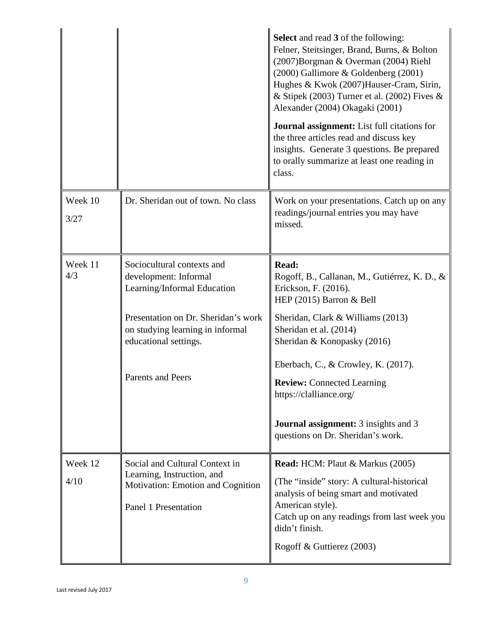|                 |                                                                                                                           | <b>Select</b> and read 3 of the following:<br>Felner, Steitsinger, Brand, Burns, & Bolton<br>(2007) Borgman & Overman (2004) Riehl<br>(2000) Gallimore & Goldenberg (2001)<br>Hughes & Kwok (2007) Hauser-Cram, Sirin,<br>& Stipek (2003) Turner et al. (2002) Fives &<br>Alexander (2004) Okagaki (2001)<br><b>Journal assignment:</b> List full citations for<br>the three articles read and discuss key<br>insights. Generate 3 questions. Be prepared<br>to orally summarize at least one reading in<br>class. |
|-----------------|---------------------------------------------------------------------------------------------------------------------------|--------------------------------------------------------------------------------------------------------------------------------------------------------------------------------------------------------------------------------------------------------------------------------------------------------------------------------------------------------------------------------------------------------------------------------------------------------------------------------------------------------------------|
| Week 10<br>3/27 | Dr. Sheridan out of town. No class                                                                                        | Work on your presentations. Catch up on any<br>readings/journal entries you may have<br>missed.                                                                                                                                                                                                                                                                                                                                                                                                                    |
| Week 11<br>4/3  | Sociocultural contexts and<br>development: Informal<br>Learning/Informal Education                                        | Read:<br>Rogoff, B., Callanan, M., Gutiérrez, K. D., &<br>Erickson, F. (2016).<br>HEP (2015) Barron & Bell                                                                                                                                                                                                                                                                                                                                                                                                         |
|                 | Presentation on Dr. Sheridan's work<br>on studying learning in informal<br>educational settings.                          | Sheridan, Clark & Williams (2013)<br>Sheridan et al. (2014)<br>Sheridan & Konopasky (2016)                                                                                                                                                                                                                                                                                                                                                                                                                         |
|                 | <b>Parents and Peers</b>                                                                                                  | Eberbach, C., & Crowley, K. (2017).<br><b>Review:</b> Connected Learning<br>https://clalliance.org/<br><b>Journal assignment:</b> 3 insights and 3<br>questions on Dr. Sheridan's work.                                                                                                                                                                                                                                                                                                                            |
| Week 12<br>4/10 | Social and Cultural Context in<br>Learning, Instruction, and<br>Motivation: Emotion and Cognition<br>Panel 1 Presentation | <b>Read:</b> HCM: Plaut & Markus (2005)<br>(The "inside" story: A cultural-historical<br>analysis of being smart and motivated<br>American style).<br>Catch up on any readings from last week you<br>didn't finish.<br>Rogoff & Guttierez (2003)                                                                                                                                                                                                                                                                   |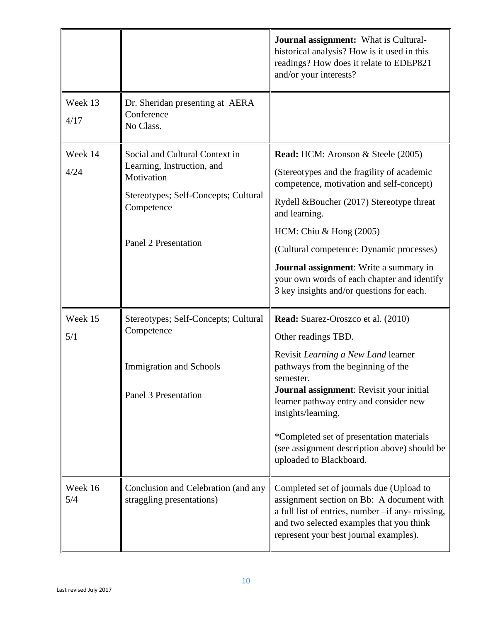|                                                                                   |                                                                  | Journal assignment: What is Cultural-<br>historical analysis? How is it used in this<br>readings? How does it relate to EDEP821<br>and/or your interests?                                                                       |  |
|-----------------------------------------------------------------------------------|------------------------------------------------------------------|---------------------------------------------------------------------------------------------------------------------------------------------------------------------------------------------------------------------------------|--|
| Week 13<br>4/17                                                                   | Dr. Sheridan presenting at AERA<br>Conference<br>No Class.       |                                                                                                                                                                                                                                 |  |
| Week 14                                                                           | Social and Cultural Context in                                   | <b>Read:</b> HCM: Aronson & Steele (2005)                                                                                                                                                                                       |  |
| 4/24                                                                              | Learning, Instruction, and<br>Motivation                         | (Stereotypes and the fragility of academic<br>competence, motivation and self-concept)                                                                                                                                          |  |
| Stereotypes; Self-Concepts; Cultural<br>Competence<br><b>Panel 2 Presentation</b> | Rydell &Boucher (2017) Stereotype threat<br>and learning.        |                                                                                                                                                                                                                                 |  |
|                                                                                   |                                                                  | HCM: Chiu & Hong $(2005)$                                                                                                                                                                                                       |  |
|                                                                                   |                                                                  | (Cultural competence: Dynamic processes)                                                                                                                                                                                        |  |
|                                                                                   |                                                                  | <b>Journal assignment:</b> Write a summary in<br>your own words of each chapter and identify<br>3 key insights and/or questions for each.                                                                                       |  |
| Week 15                                                                           | Stereotypes; Self-Concepts; Cultural                             | <b>Read:</b> Suarez-Oroszco et al. (2010)                                                                                                                                                                                       |  |
| 5/1                                                                               | Competence                                                       | Other readings TBD.                                                                                                                                                                                                             |  |
|                                                                                   | <b>Immigration and Schools</b><br><b>Panel 3 Presentation</b>    | Revisit Learning a New Land learner<br>pathways from the beginning of the<br>semester.<br>Journal assignment: Revisit your initial<br>learner pathway entry and consider new<br>insights/learning.                              |  |
|                                                                                   |                                                                  | *Completed set of presentation materials<br>(see assignment description above) should be<br>uploaded to Blackboard.                                                                                                             |  |
| Week 16<br>5/4                                                                    | Conclusion and Celebration (and any<br>straggling presentations) | Completed set of journals due (Upload to<br>assignment section on Bb: A document with<br>a full list of entries, number -if any- missing,<br>and two selected examples that you think<br>represent your best journal examples). |  |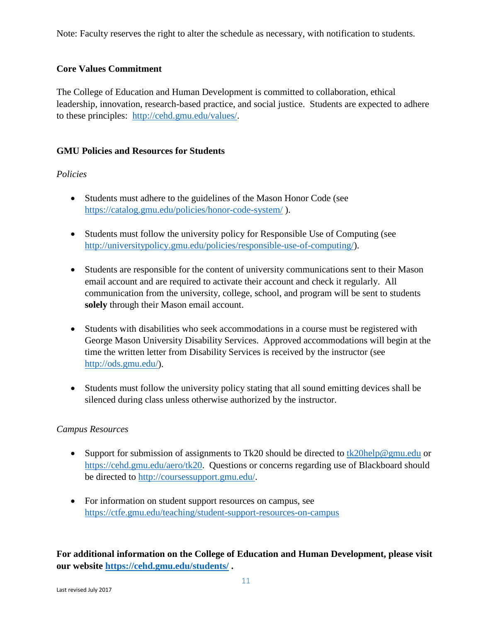Note: Faculty reserves the right to alter the schedule as necessary, with notification to students.

## **Core Values Commitment**

The College of Education and Human Development is committed to collaboration, ethical leadership, innovation, research-based practice, and social justice. Students are expected to adhere to these principles: [http://cehd.gmu.edu/values/.](http://cehd.gmu.edu/values/)

## **GMU Policies and Resources for Students**

## *Policies*

- Students must adhere to the guidelines of the Mason Honor Code (see <https://catalog.gmu.edu/policies/honor-code-system/> ).
- Students must follow the university policy for Responsible Use of Computing (see [http://universitypolicy.gmu.edu/policies/responsible-use-of-computing/\)](http://universitypolicy.gmu.edu/policies/responsible-use-of-computing/).
- Students are responsible for the content of university communications sent to their Mason email account and are required to activate their account and check it regularly. All communication from the university, college, school, and program will be sent to students **solely** through their Mason email account.
- Students with disabilities who seek accommodations in a course must be registered with George Mason University Disability Services. Approved accommodations will begin at the time the written letter from Disability Services is received by the instructor (see [http://ods.gmu.edu/\)](http://ods.gmu.edu/).
- Students must follow the university policy stating that all sound emitting devices shall be silenced during class unless otherwise authorized by the instructor.

## *Campus Resources*

- Support for submission of assignments to Tk20 should be directed to  $tk20$ help@gmu.edu or [https://cehd.gmu.edu/aero/tk20.](https://cehd.gmu.edu/aero/tk20) Questions or concerns regarding use of Blackboard should be directed to [http://coursessupport.gmu.edu/.](http://coursessupport.gmu.edu/)
- For information on student support resources on campus, see <https://ctfe.gmu.edu/teaching/student-support-resources-on-campus>

**For additional information on the College of Education and Human Development, please visit our website <https://cehd.gmu.edu/students/> .**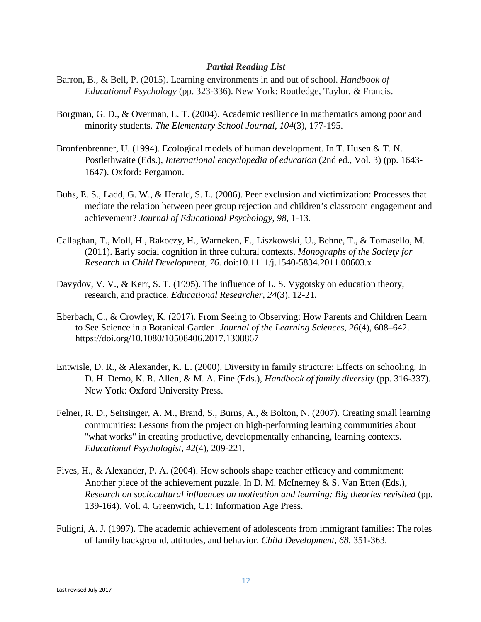#### *Partial Reading List*

- Barron, B., & Bell, P. (2015). Learning environments in and out of school. *Handbook of Educational Psychology* (pp. 323-336). New York: Routledge, Taylor, & Francis.
- Borgman, G. D., & Overman, L. T. (2004). Academic resilience in mathematics among poor and minority students. *The Elementary School Journal, 104*(3), 177-195.
- Bronfenbrenner, U. (1994). Ecological models of human development. In T. Husen & T. N. Postlethwaite (Eds.), *International encyclopedia of education* (2nd ed., Vol. 3) (pp. 1643- 1647). Oxford: Pergamon.
- Buhs, E. S., Ladd, G. W., & Herald, S. L. (2006). Peer exclusion and victimization: Processes that mediate the relation between peer group rejection and children's classroom engagement and achievement? *Journal of Educational Psychology, 98,* 1-13.
- Callaghan, T., Moll, H., Rakoczy, H., Warneken, F., Liszkowski, U., Behne, T., & Tomasello, M. (2011). Early social cognition in three cultural contexts. *Monographs of the Society for Research in Child Development*, *76*. doi:10.1111/j.1540-5834.2011.00603.x
- Davydov, V. V., & Kerr, S. T. (1995). The influence of L. S. Vygotsky on education theory, research, and practice. *Educational Researcher*, *24*(3), 12-21.
- Eberbach, C., & Crowley, K. (2017). From Seeing to Observing: How Parents and Children Learn to See Science in a Botanical Garden. *Journal of the Learning Sciences*, *26*(4), 608–642. https://doi.org/10.1080/10508406.2017.1308867
- Entwisle, D. R., & Alexander, K. L. (2000). Diversity in family structure: Effects on schooling. In D. H. Demo, K. R. Allen, & M. A. Fine (Eds.), *Handbook of family diversity* (pp. 316-337). New York: Oxford University Press.
- Felner, R. D., Seitsinger, A. M., Brand, S., Burns, A., & Bolton, N. (2007). Creating small learning communities: Lessons from the project on high-performing learning communities about "what works" in creating productive, developmentally enhancing, learning contexts. *Educational Psychologist, 42*(4), 209-221.
- Fives, H., & Alexander, P. A. (2004). How schools shape teacher efficacy and commitment: Another piece of the achievement puzzle. In D. M. McInerney  $\& S$ . Van Etten (Eds.), *Research on sociocultural influences on motivation and learning: Big theories revisited* (pp. 139-164). Vol. 4. Greenwich, CT: Information Age Press.
- Fuligni, A. J. (1997). The academic achievement of adolescents from immigrant families: The roles of family background, attitudes, and behavior. *Child Development, 68,* 351-363.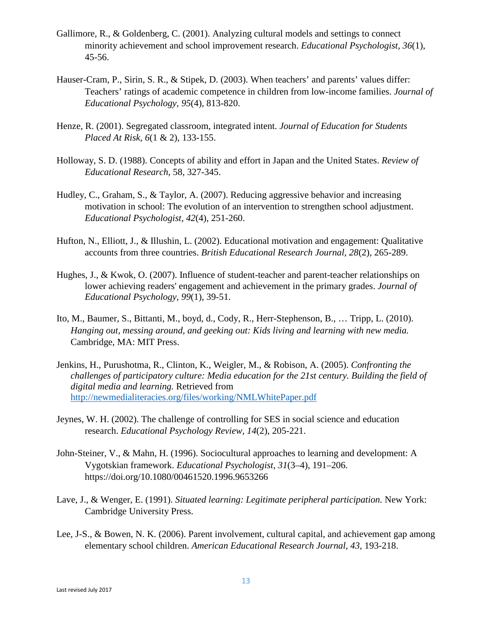- Gallimore, R., & Goldenberg, C. (2001). Analyzing cultural models and settings to connect minority achievement and school improvement research. *Educational Psychologist, 36*(1), 45-56.
- Hauser-Cram, P., Sirin, S. R., & Stipek, D. (2003). When teachers' and parents' values differ: Teachers' ratings of academic competence in children from low-income families. *Journal of Educational Psychology, 95*(4), 813-820.
- Henze, R. (2001). Segregated classroom, integrated intent. *Journal of Education for Students Placed At Risk, 6*(1 & 2), 133-155.
- Holloway, S. D. (1988). Concepts of ability and effort in Japan and the United States. *Review of Educational Research*, 58, 327-345.
- Hudley, C., Graham, S., & Taylor, A. (2007). Reducing aggressive behavior and increasing motivation in school: The evolution of an intervention to strengthen school adjustment. *Educational Psychologist, 42*(4), 251-260.
- Hufton, N., Elliott, J., & Illushin, L. (2002). Educational motivation and engagement: Qualitative accounts from three countries. *British Educational Research Journal*, *28*(2), 265-289.
- Hughes, J., & Kwok, O. (2007). Influence of student-teacher and parent-teacher relationships on lower achieving readers' engagement and achievement in the primary grades. *Journal of Educational Psychology*, *99*(1), 39-51.
- Ito, M., Baumer, S., Bittanti, M., boyd, d., Cody, R., Herr-Stephenson, B., … Tripp, L. (2010). *Hanging out, messing around, and geeking out: Kids living and learning with new media.* Cambridge, MA: MIT Press.
- Jenkins, H., Purushotma, R., Clinton, K., Weigler, M., & Robison, A. (2005). *Confronting the challenges of participatory culture: Media education for the 21st century. Building the field of digital media and learning.* Retrieved from <http://newmedialiteracies.org/files/working/NMLWhitePaper.pdf>
- Jeynes, W. H. (2002). The challenge of controlling for SES in social science and education research. *Educational Psychology Review, 14*(2), 205-221.
- John-Steiner, V., & Mahn, H. (1996). Sociocultural approaches to learning and development: A Vygotskian framework. *Educational Psychologist*, *31*(3–4), 191–206. https://doi.org/10.1080/00461520.1996.9653266
- Lave, J., & Wenger, E. (1991). *Situated learning: Legitimate peripheral participation.* New York: Cambridge University Press.
- Lee, J-S., & Bowen, N. K. (2006). Parent involvement, cultural capital, and achievement gap among elementary school children. *American Educational Research Journal, 43,* 193-218.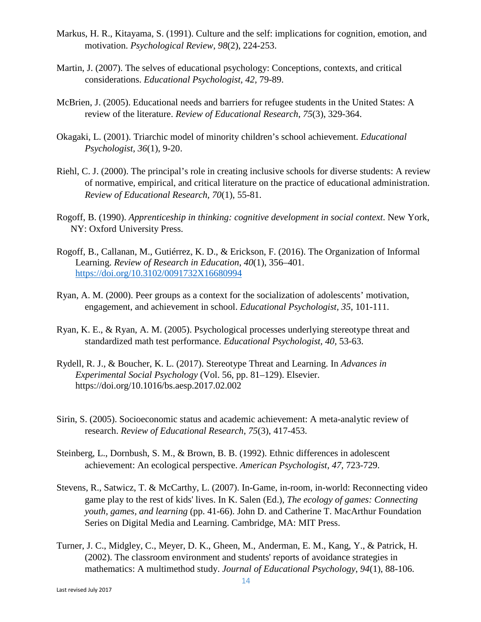- Markus, H. R., Kitayama, S. (1991). Culture and the self: implications for cognition, emotion, and motivation. *Psychological Review*, *98*(2), 224-253.
- Martin, J. (2007). The selves of educational psychology: Conceptions, contexts, and critical considerations. *Educational Psychologist, 42,* 79-89.
- McBrien, J. (2005). Educational needs and barriers for refugee students in the United States: A review of the literature. *Review of Educational Research*, *75*(3), 329-364.
- Okagaki, L. (2001). Triarchic model of minority children's school achievement. *Educational Psychologist, 36*(1), 9-20.
- Riehl, C. J. (2000). The principal's role in creating inclusive schools for diverse students: A review of normative, empirical, and critical literature on the practice of educational administration. *Review of Educational Research, 70*(1), 55-81.
- Rogoff, B. (1990). *Apprenticeship in thinking: cognitive development in social context*. New York, NY: Oxford University Press.
- Rogoff, B., Callanan, M., Gutiérrez, K. D., & Erickson, F. (2016). The Organization of Informal Learning. *Review of Research in Education*, *40*(1), 356–401. <https://doi.org/10.3102/0091732X16680994>
- Ryan, A. M. (2000). Peer groups as a context for the socialization of adolescents' motivation, engagement, and achievement in school. *Educational Psychologist, 35,* 101-111.
- Ryan, K. E., & Ryan, A. M. (2005). Psychological processes underlying stereotype threat and standardized math test performance. *Educational Psychologist, 40,* 53-63.
- Rydell, R. J., & Boucher, K. L. (2017). Stereotype Threat and Learning. In *Advances in Experimental Social Psychology* (Vol. 56, pp. 81–129). Elsevier. https://doi.org/10.1016/bs.aesp.2017.02.002
- Sirin, S. (2005). Socioeconomic status and academic achievement: A meta-analytic review of research. *Review of Educational Research*, *75*(3), 417-453.
- Steinberg, L., Dornbush, S. M., & Brown, B. B. (1992). Ethnic differences in adolescent achievement: An ecological perspective. *American Psychologist, 47,* 723-729.
- Stevens, R., Satwicz, T. & McCarthy, L. (2007). In-Game, in-room, in-world: Reconnecting video game play to the rest of kids' lives. In K. Salen (Ed.), *The ecology of games: Connecting youth, games, and learning* (pp. 41-66). John D. and Catherine T. MacArthur Foundation Series on Digital Media and Learning. Cambridge, MA: MIT Press.
- Turner, J. C., Midgley, C., Meyer, D. K., Gheen, M., Anderman, E. M., Kang, Y., & Patrick, H. (2002). The classroom environment and students' reports of avoidance strategies in mathematics: A multimethod study. *Journal of Educational Psychology*, *94*(1), 88-106.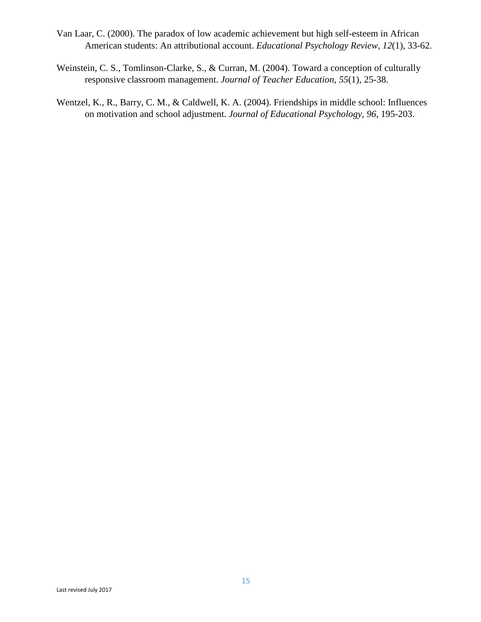- Van Laar, C. (2000). The paradox of low academic achievement but high self-esteem in African American students: An attributional account. *Educational Psychology Review, 12*(1), 33-62.
- Weinstein, C. S., Tomlinson-Clarke, S., & Curran, M. (2004). Toward a conception of culturally responsive classroom management. *Journal of Teacher Education, 55*(1), 25-38.
- Wentzel, K., R., Barry, C. M., & Caldwell, K. A. (2004). Friendships in middle school: Influences on motivation and school adjustment. *Journal of Educational Psychology, 96,* 195-203.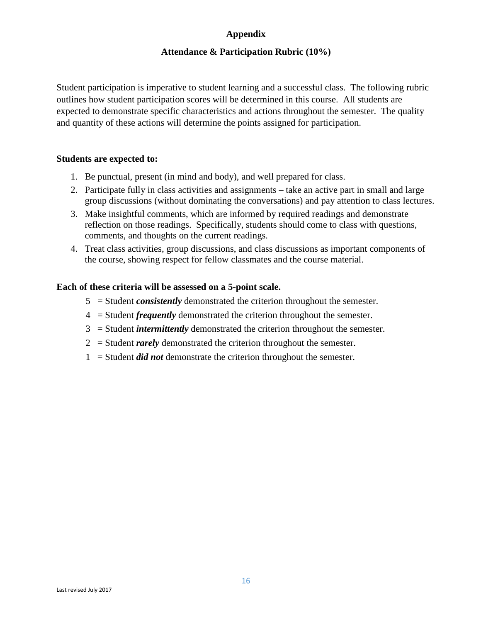## **Appendix**

## **Attendance & Participation Rubric (10%)**

Student participation is imperative to student learning and a successful class. The following rubric outlines how student participation scores will be determined in this course. All students are expected to demonstrate specific characteristics and actions throughout the semester. The quality and quantity of these actions will determine the points assigned for participation.

#### **Students are expected to:**

- 1. Be punctual, present (in mind and body), and well prepared for class.
- 2. Participate fully in class activities and assignments take an active part in small and large group discussions (without dominating the conversations) and pay attention to class lectures.
- 3. Make insightful comments, which are informed by required readings and demonstrate reflection on those readings. Specifically, students should come to class with questions, comments, and thoughts on the current readings.
- 4. Treat class activities, group discussions, and class discussions as important components of the course, showing respect for fellow classmates and the course material.

#### **Each of these criteria will be assessed on a 5-point scale.**

- 5 = Student *consistently* demonstrated the criterion throughout the semester.
- 4 = Student *frequently* demonstrated the criterion throughout the semester.
- 3 = Student *intermittently* demonstrated the criterion throughout the semester.
- 2 = Student *rarely* demonstrated the criterion throughout the semester.
- 1 = Student *did not* demonstrate the criterion throughout the semester.